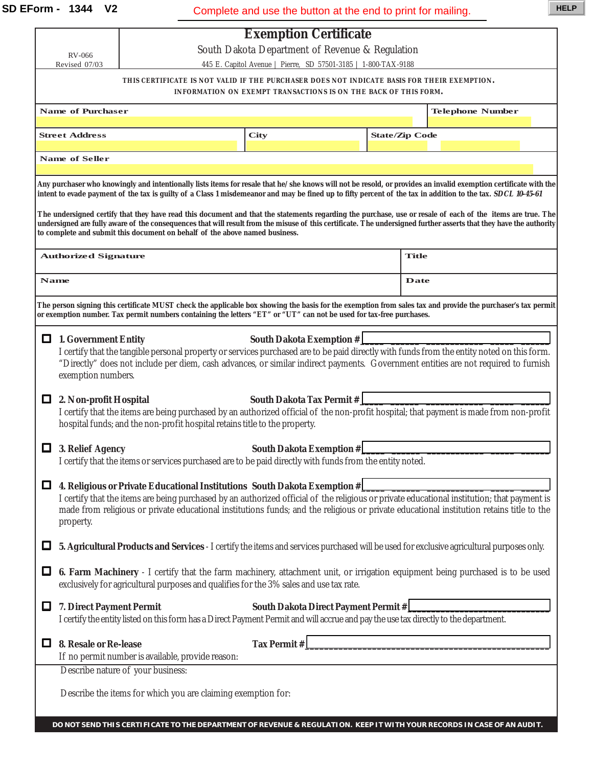**SD EForm - 1344 V2** Complete and use the button at the end to print for mailing.

|                                                                                                                                                                                                                                                                                                                                                                                                                 |                                                                                                                                                                                                                                                                                                                                                                          |                                                                                                                                      | Complete and use the button at the end to print for mailing.    |  |              |                       |                                                                                                                                           |  |  |  |
|-----------------------------------------------------------------------------------------------------------------------------------------------------------------------------------------------------------------------------------------------------------------------------------------------------------------------------------------------------------------------------------------------------------------|--------------------------------------------------------------------------------------------------------------------------------------------------------------------------------------------------------------------------------------------------------------------------------------------------------------------------------------------------------------------------|--------------------------------------------------------------------------------------------------------------------------------------|-----------------------------------------------------------------|--|--------------|-----------------------|-------------------------------------------------------------------------------------------------------------------------------------------|--|--|--|
|                                                                                                                                                                                                                                                                                                                                                                                                                 |                                                                                                                                                                                                                                                                                                                                                                          | <b>Exemption Certificate</b>                                                                                                         |                                                                 |  |              |                       |                                                                                                                                           |  |  |  |
| RV-066                                                                                                                                                                                                                                                                                                                                                                                                          |                                                                                                                                                                                                                                                                                                                                                                          | South Dakota Department of Revenue & Regulation                                                                                      |                                                                 |  |              |                       |                                                                                                                                           |  |  |  |
|                                                                                                                                                                                                                                                                                                                                                                                                                 | 445 E. Capitol Avenue   Pierre, SD 57501-3185   1-800-TAX-9188<br>Revised 07/03<br>THIS CERTIFICATE IS NOT VALID IF THE PURCHASER DOES NOT INDICATE BASIS FOR THEIR EXEMPTION.                                                                                                                                                                                           |                                                                                                                                      |                                                                 |  |              |                       |                                                                                                                                           |  |  |  |
|                                                                                                                                                                                                                                                                                                                                                                                                                 |                                                                                                                                                                                                                                                                                                                                                                          |                                                                                                                                      | INFORMATION ON EXEMPT TRANSACTIONS IS ON THE BACK OF THIS FORM. |  |              |                       |                                                                                                                                           |  |  |  |
| <b>Name of Purchaser</b>                                                                                                                                                                                                                                                                                                                                                                                        |                                                                                                                                                                                                                                                                                                                                                                          |                                                                                                                                      |                                                                 |  |              |                       | <b>Telephone Number</b>                                                                                                                   |  |  |  |
| <b>Street Address</b>                                                                                                                                                                                                                                                                                                                                                                                           |                                                                                                                                                                                                                                                                                                                                                                          |                                                                                                                                      | <b>City</b>                                                     |  |              | <b>State/Zip Code</b> |                                                                                                                                           |  |  |  |
|                                                                                                                                                                                                                                                                                                                                                                                                                 |                                                                                                                                                                                                                                                                                                                                                                          |                                                                                                                                      |                                                                 |  |              |                       |                                                                                                                                           |  |  |  |
| <b>Name of Seller</b>                                                                                                                                                                                                                                                                                                                                                                                           |                                                                                                                                                                                                                                                                                                                                                                          |                                                                                                                                      |                                                                 |  |              |                       |                                                                                                                                           |  |  |  |
| Any purchaser who knowingly and intentionally lists items for resale that he/she knows will not be resold, or provides an invalid exemption certificate with the                                                                                                                                                                                                                                                |                                                                                                                                                                                                                                                                                                                                                                          |                                                                                                                                      |                                                                 |  |              |                       |                                                                                                                                           |  |  |  |
| intent to evade payment of the tax is guilty of a Class 1 misdemeanor and may be fined up to fifty percent of the tax in addition to the tax. SDCL 10-45-61                                                                                                                                                                                                                                                     |                                                                                                                                                                                                                                                                                                                                                                          |                                                                                                                                      |                                                                 |  |              |                       |                                                                                                                                           |  |  |  |
| The undersigned certify that they have read this document and that the statements regarding the purchase, use or resale of each of the items are true. The<br>undersigned are fully aware of the consequences that will result from the misuse of this certificate. The undersigned further asserts that they have the authority<br>to complete and submit this document on behalf of the above named business. |                                                                                                                                                                                                                                                                                                                                                                          |                                                                                                                                      |                                                                 |  |              |                       |                                                                                                                                           |  |  |  |
| Authorized Signature                                                                                                                                                                                                                                                                                                                                                                                            |                                                                                                                                                                                                                                                                                                                                                                          |                                                                                                                                      |                                                                 |  | <b>Title</b> |                       |                                                                                                                                           |  |  |  |
| <b>Name</b>                                                                                                                                                                                                                                                                                                                                                                                                     |                                                                                                                                                                                                                                                                                                                                                                          |                                                                                                                                      |                                                                 |  | <b>Date</b>  |                       |                                                                                                                                           |  |  |  |
| The person signing this certificate MUST check the applicable box showing the basis for the exemption from sales tax and provide the purchaser's tax permit<br>or exemption number. Tax permit numbers containing the letters "ET" or "UT" can not be used for tax-free purchases.                                                                                                                              |                                                                                                                                                                                                                                                                                                                                                                          |                                                                                                                                      |                                                                 |  |              |                       |                                                                                                                                           |  |  |  |
|                                                                                                                                                                                                                                                                                                                                                                                                                 | <b>South Dakota Exemption #</b><br>$\Box$ 1. Government Entity<br>I certify that the tangible personal property or services purchased are to be paid directly with funds from the entity noted on this form.<br>"Directly" does not include per diem, cash advances, or similar indirect payments. Government entities are not required to furnish<br>exemption numbers. |                                                                                                                                      |                                                                 |  |              |                       |                                                                                                                                           |  |  |  |
| □                                                                                                                                                                                                                                                                                                                                                                                                               | South Dakota Tax Permit #<br>2. Non-profit Hospital<br>I certify that the items are being purchased by an authorized official of the non-profit hospital; that payment is made from non-profit<br>hospital funds; and the non-profit hospital retains title to the property.                                                                                             |                                                                                                                                      |                                                                 |  |              |                       |                                                                                                                                           |  |  |  |
| 3. Relief Agency                                                                                                                                                                                                                                                                                                                                                                                                |                                                                                                                                                                                                                                                                                                                                                                          | South Dakota Exemption #<br>I certify that the items or services purchased are to be paid directly with funds from the entity noted. |                                                                 |  |              |                       |                                                                                                                                           |  |  |  |
| □                                                                                                                                                                                                                                                                                                                                                                                                               | 4. Religious or Private Educational Institutions South Dakota Exemption #                                                                                                                                                                                                                                                                                                |                                                                                                                                      |                                                                 |  |              |                       |                                                                                                                                           |  |  |  |
|                                                                                                                                                                                                                                                                                                                                                                                                                 | I certify that the items are being purchased by an authorized official of the religious or private educational institution; that payment is<br>made from religious or private educational institutions funds; and the religious or private educational institution retains title to the<br>property.                                                                     |                                                                                                                                      |                                                                 |  |              |                       |                                                                                                                                           |  |  |  |
| ப                                                                                                                                                                                                                                                                                                                                                                                                               |                                                                                                                                                                                                                                                                                                                                                                          |                                                                                                                                      |                                                                 |  |              |                       | 5. Agricultural Products and Services - I certify the items and services purchased will be used for exclusive agricultural purposes only. |  |  |  |
| ப                                                                                                                                                                                                                                                                                                                                                                                                               | 6. Farm Machinery - I certify that the farm machinery, attachment unit, or irrigation equipment being purchased is to be used<br>exclusively for agricultural purposes and qualifies for the 3% sales and use tax rate.                                                                                                                                                  |                                                                                                                                      |                                                                 |  |              |                       |                                                                                                                                           |  |  |  |
| ப                                                                                                                                                                                                                                                                                                                                                                                                               | South Dakota Direct Payment Permit #<br>7. Direct Payment Permit<br>I certify the entity listed on this form has a Direct Payment Permit and will accrue and pay the use tax directly to the department.                                                                                                                                                                 |                                                                                                                                      |                                                                 |  |              |                       |                                                                                                                                           |  |  |  |
| ப                                                                                                                                                                                                                                                                                                                                                                                                               | 8. Resale or Re-lease<br>If no permit number is available, provide reason:                                                                                                                                                                                                                                                                                               |                                                                                                                                      | Tax Permit #                                                    |  |              |                       |                                                                                                                                           |  |  |  |
|                                                                                                                                                                                                                                                                                                                                                                                                                 | Describe nature of your business:                                                                                                                                                                                                                                                                                                                                        |                                                                                                                                      |                                                                 |  |              |                       |                                                                                                                                           |  |  |  |
|                                                                                                                                                                                                                                                                                                                                                                                                                 | Describe the items for which you are claiming exemption for:                                                                                                                                                                                                                                                                                                             |                                                                                                                                      |                                                                 |  |              |                       |                                                                                                                                           |  |  |  |
|                                                                                                                                                                                                                                                                                                                                                                                                                 |                                                                                                                                                                                                                                                                                                                                                                          |                                                                                                                                      |                                                                 |  |              |                       | DO NOT SEND THIS CERTIFICATE TO THE DEPARTMENT OF REVENUE & REGULATION. KEEP IT WITH YOUR RECORDS IN CASE OF AN AUDIT                     |  |  |  |